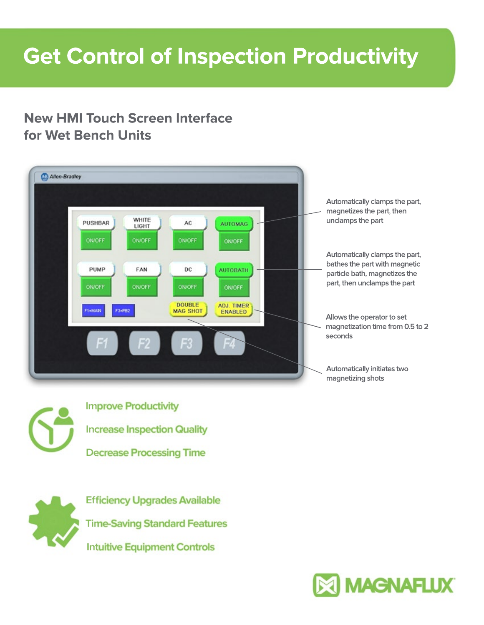## **Get Control of Inspection Productivity**

## **New HMI Touch Screen Interface for Wet Bench Units**





**Increase Inspection Quality Improve Productivity Decrease Processing Time**



**Intuitive Equipment Controls Time-Saving Standard Features Efficiency Upgrades Available**